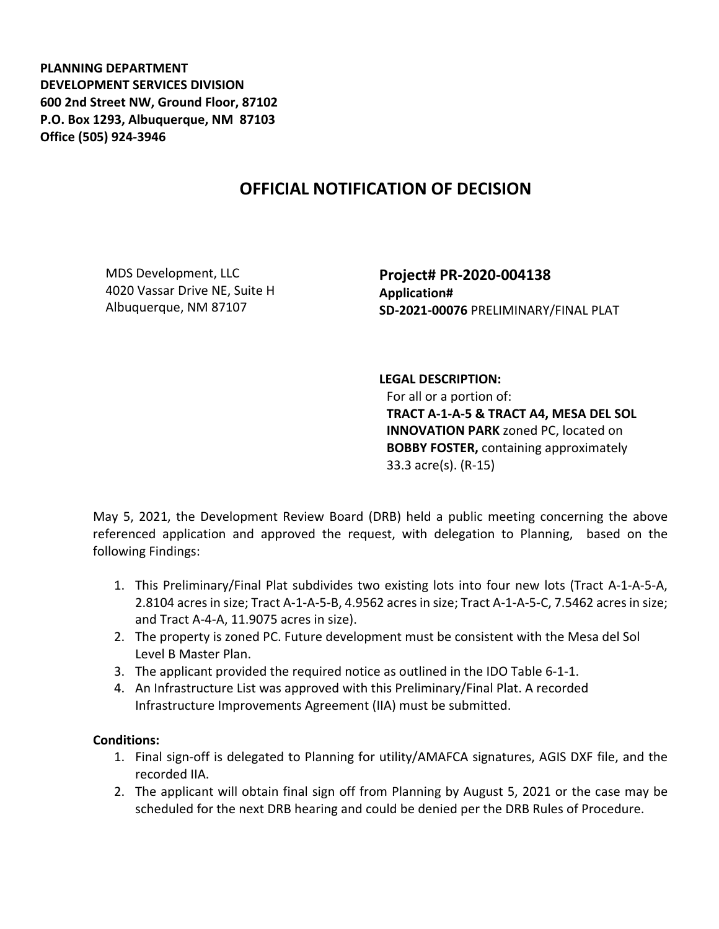**PLANNING DEPARTMENT DEVELOPMENT SERVICES DIVISION 600 2nd Street NW, Ground Floor, 87102 P.O. Box 1293, Albuquerque, NM 87103 Office (505) 924-3946** 

## **OFFICIAL NOTIFICATION OF DECISION**

MDS Development, LLC 4020 Vassar Drive NE, Suite H Albuquerque, NM 87107

**Project# PR-2020-004138 Application# SD-2021-00076** PRELIMINARY/FINAL PLAT

## **LEGAL DESCRIPTION:**

For all or a portion of: **TRACT A-1-A-5 & TRACT A4, MESA DEL SOL INNOVATION PARK** zoned PC, located on **BOBBY FOSTER,** containing approximately 33.3 acre(s). (R-15)

May 5, 2021, the Development Review Board (DRB) held a public meeting concerning the above referenced application and approved the request, with delegation to Planning, based on the following Findings:

- 1. This Preliminary/Final Plat subdivides two existing lots into four new lots (Tract A-1-A-5-A, 2.8104 acres in size; Tract A-1-A-5-B, 4.9562 acres in size; Tract A-1-A-5-C, 7.5462 acres in size; and Tract A-4-A, 11.9075 acres in size).
- 2. The property is zoned PC. Future development must be consistent with the Mesa del Sol Level B Master Plan.
- 3. The applicant provided the required notice as outlined in the IDO Table 6-1-1.
- 4. An Infrastructure List was approved with this Preliminary/Final Plat. A recorded Infrastructure Improvements Agreement (IIA) must be submitted.

## **Conditions:**

- 1. Final sign-off is delegated to Planning for utility/AMAFCA signatures, AGIS DXF file, and the recorded IIA.
- 2. The applicant will obtain final sign off from Planning by August 5, 2021 or the case may be scheduled for the next DRB hearing and could be denied per the DRB Rules of Procedure.